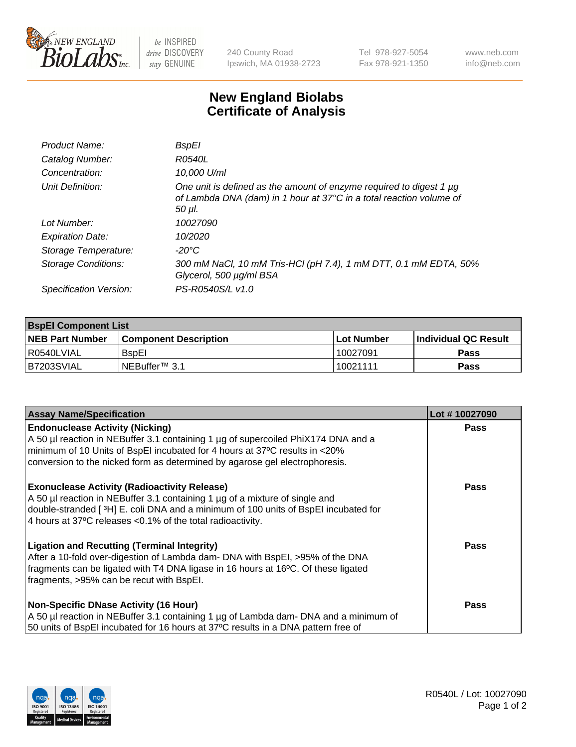

 $be$  INSPIRED drive DISCOVERY stay GENUINE

240 County Road Ipswich, MA 01938-2723 Tel 978-927-5054 Fax 978-921-1350 www.neb.com info@neb.com

## **New England Biolabs Certificate of Analysis**

| Product Name:              | <b>BspEI</b>                                                                                                                                         |
|----------------------------|------------------------------------------------------------------------------------------------------------------------------------------------------|
| Catalog Number:            | R0540L                                                                                                                                               |
| Concentration:             | 10,000 U/ml                                                                                                                                          |
| Unit Definition:           | One unit is defined as the amount of enzyme required to digest 1 µg<br>of Lambda DNA (dam) in 1 hour at 37°C in a total reaction volume of<br>50 µl. |
| Lot Number:                | 10027090                                                                                                                                             |
| <b>Expiration Date:</b>    | 10/2020                                                                                                                                              |
| Storage Temperature:       | $-20^{\circ}$ C                                                                                                                                      |
| <b>Storage Conditions:</b> | 300 mM NaCl, 10 mM Tris-HCl (pH 7.4), 1 mM DTT, 0.1 mM EDTA, 50%<br>Glycerol, 500 µg/ml BSA                                                          |
| Specification Version:     | PS-R0540S/L v1.0                                                                                                                                     |

| <b>BspEl Component List</b> |                              |             |                             |  |  |
|-----------------------------|------------------------------|-------------|-----------------------------|--|--|
| <b>NEB Part Number</b>      | <b>Component Description</b> | ⊺Lot Number | <b>Individual QC Result</b> |  |  |
| I R0540LVIAL                | <b>B</b> spEI                | 10027091    | Pass                        |  |  |
| IB7203SVIAL                 | INEBuffer™ 3.1               | 10021111    | <b>Pass</b>                 |  |  |

| <b>Assay Name/Specification</b>                                                      | Lot #10027090 |
|--------------------------------------------------------------------------------------|---------------|
| <b>Endonuclease Activity (Nicking)</b>                                               | <b>Pass</b>   |
| A 50 µl reaction in NEBuffer 3.1 containing 1 µg of supercoiled PhiX174 DNA and a    |               |
| minimum of 10 Units of BspEI incubated for 4 hours at 37°C results in <20%           |               |
| conversion to the nicked form as determined by agarose gel electrophoresis.          |               |
| <b>Exonuclease Activity (Radioactivity Release)</b>                                  | <b>Pass</b>   |
| A 50 µl reaction in NEBuffer 3.1 containing 1 µg of a mixture of single and          |               |
| double-stranded [3H] E. coli DNA and a minimum of 100 units of BspEI incubated for   |               |
| 4 hours at 37°C releases <0.1% of the total radioactivity.                           |               |
| <b>Ligation and Recutting (Terminal Integrity)</b>                                   | <b>Pass</b>   |
| After a 10-fold over-digestion of Lambda dam- DNA with BspEI, >95% of the DNA        |               |
| fragments can be ligated with T4 DNA ligase in 16 hours at 16°C. Of these ligated    |               |
| fragments, >95% can be recut with BspEI.                                             |               |
| <b>Non-Specific DNase Activity (16 Hour)</b>                                         | <b>Pass</b>   |
| A 50 µl reaction in NEBuffer 3.1 containing 1 µg of Lambda dam- DNA and a minimum of |               |
| 50 units of BspEI incubated for 16 hours at 37°C results in a DNA pattern free of    |               |